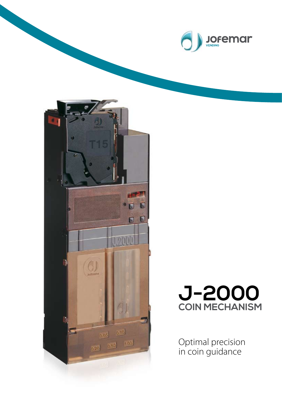





Optimal precision in coin guidance